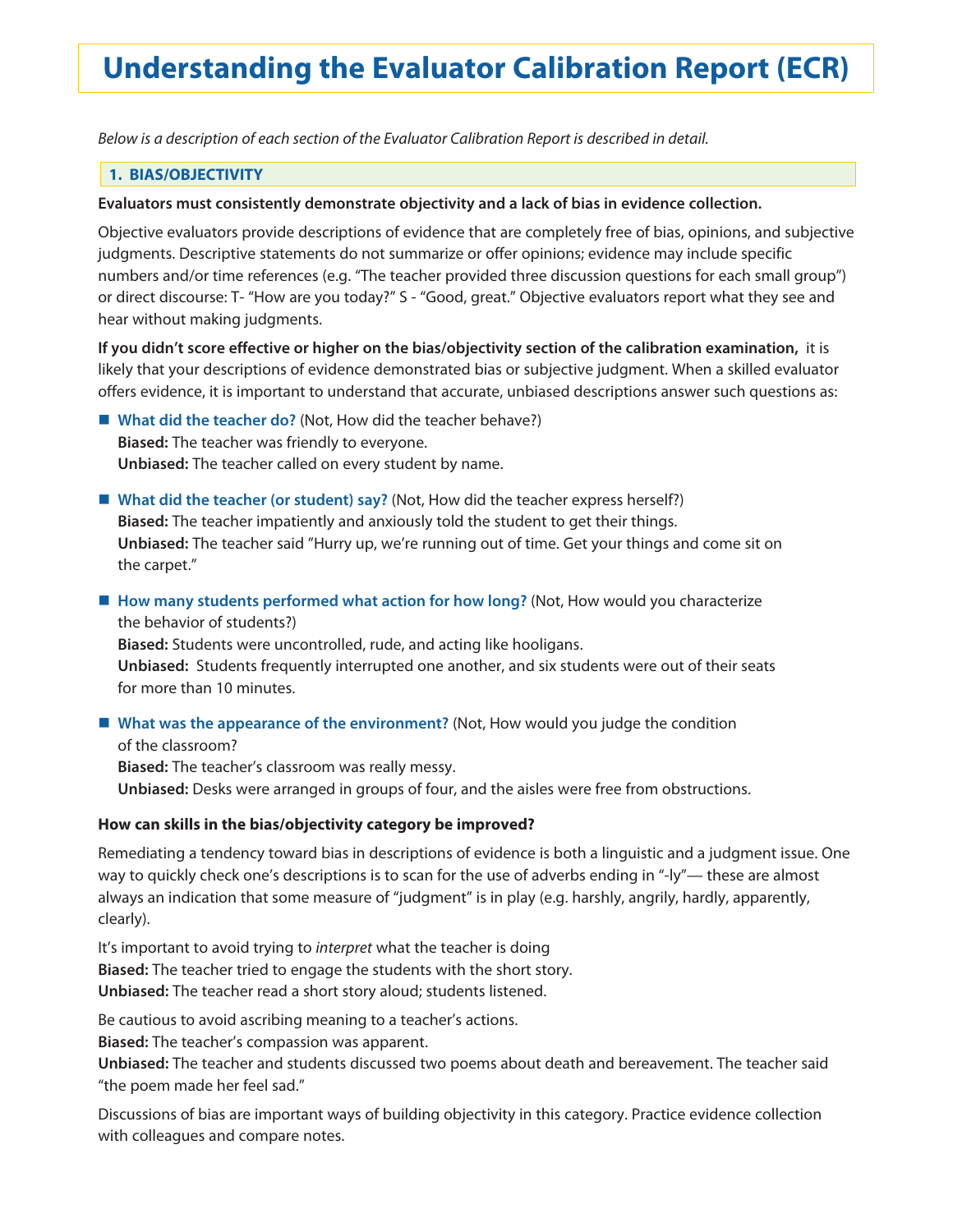# **Understanding the Evaluator Calibration Report (ECR)**

*Below is a description of each section of the Evaluator Calibration Report is described in detail.*

## **1. BIAS/OBJECTIVITY**

#### **Evaluators must consistently demonstrate objectivity and a lack of bias in evidence collection.**

Objective evaluators provide descriptions of evidence that are completely free of bias, opinions, and subjective judgments. Descriptive statements do not summarize or offer opinions; evidence may include specific numbers and/or time references (e.g. "The teacher provided three discussion questions for each small group") or direct discourse: T- "How are you today?" S - "Good, great." Objective evaluators report what they see and hear without making judgments.

**If you didn't score effective or higher on the bias/objectivity section of the calibration examination,** it is likely that your descriptions of evidence demonstrated bias or subjective judgment. When a skilled evaluator offers evidence, it is important to understand that accurate, unbiased descriptions answer such questions as:

■ What did the teacher do? (Not, How did the teacher behave?) **Biased:** The teacher was friendly to everyone. **Unbiased:** The teacher called on every student by name.

- What did the teacher (or student) say? (Not, How did the teacher express herself?) **Biased:** The teacher impatiently and anxiously told the student to get their things. **Unbiased:** The teacher said "Hurry up, we're running out of time. Get your things and come sit on the carpet."
- How many students performed what action for how long? (Not, How would you characterize the behavior of students?)

**Biased:** Students were uncontrolled, rude, and acting like hooligans.

**Unbiased:** Students frequently interrupted one another, and six students were out of their seats for more than 10 minutes.

■ What was the appearance of the environment? (Not, How would you judge the condition

of the classroom? **Biased:** The teacher's classroom was really messy. **Unbiased:** Desks were arranged in groups of four, and the aisles were free from obstructions.

#### **How can skills in the bias/objectivity category be improved?**

Remediating a tendency toward bias in descriptions of evidence is both a linguistic and a judgment issue. One way to quickly check one's descriptions is to scan for the use of adverbs ending in "-ly"— these are almost always an indication that some measure of "judgment" is in play (e.g. harshly, angrily, hardly, apparently, clearly).

It's important to avoid trying to *interpret* what the teacher is doing **Biased:** The teacher tried to engage the students with the short story. **Unbiased:** The teacher read a short story aloud; students listened.

Be cautious to avoid ascribing meaning to a teacher's actions.

**Biased:** The teacher's compassion was apparent.

**Unbiased:** The teacher and students discussed two poems about death and bereavement. The teacher said "the poem made her feel sad."

Discussions of bias are important ways of building objectivity in this category. Practice evidence collection with colleagues and compare notes.